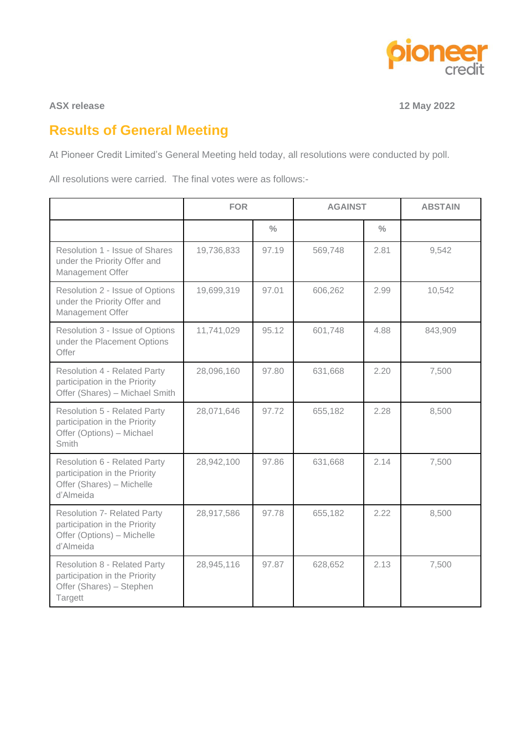

## **ASX release** 12 May 2022

# **Results of General Meeting**

At Pioneer Credit Limited's General Meeting held today, all resolutions were conducted by poll.

All resolutions were carried. The final votes were as follows:-

|                                                                                                                   | <b>FOR</b> |               | <b>AGAINST</b> |               | <b>ABSTAIN</b> |
|-------------------------------------------------------------------------------------------------------------------|------------|---------------|----------------|---------------|----------------|
|                                                                                                                   |            | $\frac{0}{0}$ |                | $\frac{0}{0}$ |                |
| Resolution 1 - Issue of Shares<br>under the Priority Offer and<br>Management Offer                                | 19,736,833 | 97.19         | 569,748        | 2.81          | 9,542          |
| Resolution 2 - Issue of Options<br>under the Priority Offer and<br>Management Offer                               | 19,699,319 | 97.01         | 606,262        | 2.99          | 10,542         |
| Resolution 3 - Issue of Options<br>under the Placement Options<br>Offer                                           | 11,741,029 | 95.12         | 601,748        | 4.88          | 843,909        |
| <b>Resolution 4 - Related Party</b><br>participation in the Priority<br>Offer (Shares) - Michael Smith            | 28,096,160 | 97.80         | 631,668        | 2.20          | 7,500          |
| <b>Resolution 5 - Related Party</b><br>participation in the Priority<br>Offer (Options) - Michael<br><b>Smith</b> | 28,071,646 | 97.72         | 655,182        | 2.28          | 8,500          |
| <b>Resolution 6 - Related Party</b><br>participation in the Priority<br>Offer (Shares) - Michelle<br>d'Almeida    | 28,942,100 | 97.86         | 631,668        | 2.14          | 7,500          |
| <b>Resolution 7- Related Party</b><br>participation in the Priority<br>Offer (Options) - Michelle<br>d'Almeida    | 28,917,586 | 97.78         | 655,182        | 2.22          | 8,500          |
| <b>Resolution 8 - Related Party</b><br>participation in the Priority<br>Offer (Shares) - Stephen<br>Targett       | 28,945,116 | 97.87         | 628,652        | 2.13          | 7,500          |